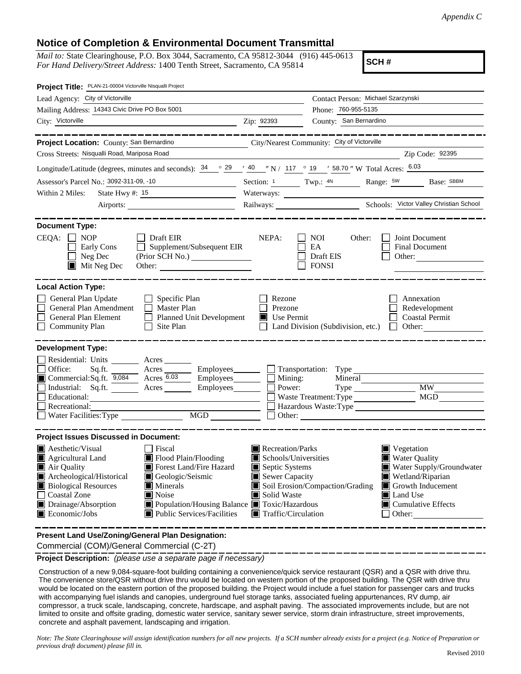## **Notice of Completion & Environmental Document Transmittal**

*Mail to:* State Clearinghouse, P.O. Box 3044, Sacramento, CA 95812-3044 (916) 445-0613 *For Hand Delivery/Street Address:* 1400 Tenth Street, Sacramento, CA 95814

**SCH #**

| Project Title: PLAN-21-00004 Victorville Nisqualli Project                                                                                                                                                                                                                                                                                                                                                             |                                                                                                                                                                                                                                                                                           |  |  |  |  |
|------------------------------------------------------------------------------------------------------------------------------------------------------------------------------------------------------------------------------------------------------------------------------------------------------------------------------------------------------------------------------------------------------------------------|-------------------------------------------------------------------------------------------------------------------------------------------------------------------------------------------------------------------------------------------------------------------------------------------|--|--|--|--|
| Lead Agency: City of Victorville                                                                                                                                                                                                                                                                                                                                                                                       | Contact Person: Michael Szarzynski                                                                                                                                                                                                                                                        |  |  |  |  |
| Mailing Address: 14343 Civic Drive PO Box 5001                                                                                                                                                                                                                                                                                                                                                                         | Phone: 760-955-5135                                                                                                                                                                                                                                                                       |  |  |  |  |
| City: Victorville                                                                                                                                                                                                                                                                                                                                                                                                      | County: San Bernardino<br>Zip: 92393                                                                                                                                                                                                                                                      |  |  |  |  |
|                                                                                                                                                                                                                                                                                                                                                                                                                        |                                                                                                                                                                                                                                                                                           |  |  |  |  |
| Project Location: County: San Bernardino                                                                                                                                                                                                                                                                                                                                                                               | City/Nearest Community: City of Victorville                                                                                                                                                                                                                                               |  |  |  |  |
| Cross Streets: Nisqualli Road, Mariposa Road                                                                                                                                                                                                                                                                                                                                                                           | Zip Code: 92395                                                                                                                                                                                                                                                                           |  |  |  |  |
|                                                                                                                                                                                                                                                                                                                                                                                                                        | Longitude/Latitude (degrees, minutes and seconds): $\frac{34}{9}$ $\frac{29}{40}$ $\frac{40}{12}$ N / 117 $\degree$ 19 $\degree$ 58.70 " W Total Acres: $\frac{6.03}{12}$                                                                                                                 |  |  |  |  |
| Assessor's Parcel No.: 3092-311-09, -10                                                                                                                                                                                                                                                                                                                                                                                | Section: 1 Twp.: 4N Range: 5W Base: SBBM                                                                                                                                                                                                                                                  |  |  |  |  |
| Within 2 Miles:<br>State Hwy $\#$ : 15                                                                                                                                                                                                                                                                                                                                                                                 |                                                                                                                                                                                                                                                                                           |  |  |  |  |
| Airports:                                                                                                                                                                                                                                                                                                                                                                                                              |                                                                                                                                                                                                                                                                                           |  |  |  |  |
| <b>Document Type:</b><br>$CEQA: \Box NOP$<br>$\Box$ Draft EIR<br>$\Box$ Supplement/Subsequent EIR<br>Early Cons<br>$\Box$ Neg Dec<br>$\blacksquare$ Mit Neg Dec                                                                                                                                                                                                                                                        | NEPA:<br>Joint Document<br>NOI<br>Other:<br>EA<br>Final Document<br>Draft EIS<br>Other:<br><b>FONSI</b>                                                                                                                                                                                   |  |  |  |  |
| <b>Local Action Type:</b>                                                                                                                                                                                                                                                                                                                                                                                              |                                                                                                                                                                                                                                                                                           |  |  |  |  |
| General Plan Update<br>$\Box$ Specific Plan<br>General Plan Amendment<br>$\Box$ Master Plan<br>Planned Unit Development<br>General Plan Element<br><b>Community Plan</b><br>Site Plan<br>$\perp$                                                                                                                                                                                                                       | Rezone<br>Annexation<br>Prezone<br>Redevelopment<br>$\blacksquare$ Use Permit<br><b>Coastal Permit</b><br>Land Division (Subdivision, etc.) $\Box$ Other:                                                                                                                                 |  |  |  |  |
| <b>Development Type:</b>                                                                                                                                                                                                                                                                                                                                                                                               |                                                                                                                                                                                                                                                                                           |  |  |  |  |
| Residential: Units ________ Acres _____<br>Office:<br>Commercial:Sq.ft. $\overline{9,084}$ Acres $\overline{6.03}$<br>Industrial: Sq.ft. <u>Acres</u> Acres Employees 1<br>Educational:<br>Recreational:<br>MGD<br>Water Facilities: Type                                                                                                                                                                              | Sq.ft. ________ Acres _________ Employees _______ __ Transportation: Type<br>$\Box$ Employees $\Box$ Mining:<br>Mineral<br>Power:<br><b>MW</b><br>Type<br>MGD<br>Waste Treatment: Type<br>Hazardous Waste:Type                                                                            |  |  |  |  |
|                                                                                                                                                                                                                                                                                                                                                                                                                        |                                                                                                                                                                                                                                                                                           |  |  |  |  |
| <b>Project Issues Discussed in Document:</b><br>$\blacksquare$ Aesthetic/Visual<br>Recreation/Parks<br>Fiscal<br>$\blacksquare$ Vegetation                                                                                                                                                                                                                                                                             |                                                                                                                                                                                                                                                                                           |  |  |  |  |
| $\blacksquare$ Agricultural Land<br>$\blacksquare$ Flood Plain/Flooding<br>Forest Land/Fire Hazard<br>Air Quality<br>Geologic/Seismic<br>Archeological/Historical<br><b>Biological Resources</b><br>$\blacksquare$ Minerals<br><b>Coastal Zone</b><br>$\blacksquare$ Noise<br>Drainage/Absorption<br>Population/Housing Balance <b>T</b> Toxic/Hazardous<br>Public Services/Facilities<br>$\blacksquare$ Economic/Jobs | Water Quality<br>Schools/Universities<br>Septic Systems<br>Water Supply/Groundwater<br>Sewer Capacity<br>Wetland/Riparian<br>Soil Erosion/Compaction/Grading<br>Growth Inducement<br>Solid Waste<br>Land Use<br>$\Box$ Cumulative Effects<br>$\blacksquare$ Traffic/Circulation<br>Other: |  |  |  |  |

**Present Land Use/Zoning/General Plan Designation:**

Commercial (COM)/General Commercial (C-2T)

**Project Description:** *(please use a separate page if necessary)*

 Construction of a new 9,084-square-foot building containing a convenience/quick service restaurant (QSR) and a QSR with drive thru. The convenience store/QSR without drive thru would be located on western portion of the proposed building. The QSR with drive thru would be located on the eastern portion of the proposed building. the Project would include a fuel station for passenger cars and trucks with accompanying fuel islands and canopies, underground fuel storage tanks, associated fueling appurtenances, RV dump, air compressor, a truck scale, landscaping, concrete, hardscape, and asphalt paving. The associated improvements include, but are not limited to onsite and offsite grading, domestic water service, sanitary sewer service, storm drain infrastructure, street improvements, concrete and asphalt pavement, landscaping and irrigation.

*Note: The State Clearinghouse will assign identification numbers for all new projects. If a SCH number already exists for a project (e.g. Notice of Preparation or previous draft document) please fill in.*